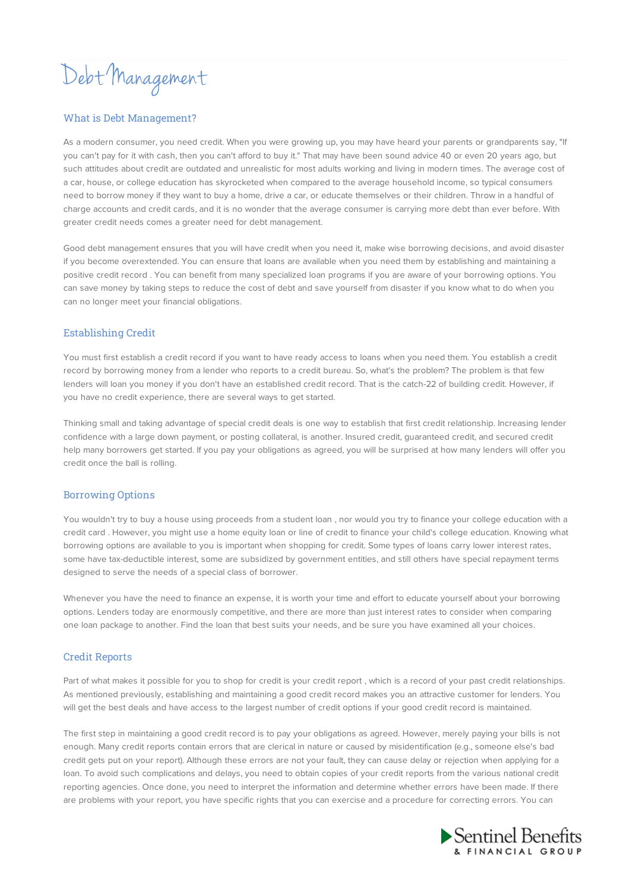Debt Management

## What is Debt Management?

As a modern consumer, you need credit. When you were growing up, you may have heard your parents or grandparents say, "If you can't pay for it with cash, then you can't afford to buy it." That may have been sound advice 40 or even 20 years ago, but such attitudes about credit are outdated and unrealistic for most adults working and living in modern times. The average cost of a car, house, or college education has skyrocketed when compared to the average household income, so typical consumers need to borrow money if they want to buy a home, drive a car, or educate themselves or their children. Throw in a handful of charge accounts and credit cards, and it is no wonder that the average consumer is carrying more debt than ever before. With greater credit needs comes a greater need for debt management.

Good debt management ensures that you will have credit when you need it, make wise borrowing decisions, and avoid disaster if you become overextended. You can ensure that loans are available when you need them by establishing and maintaining a positive credit record . You can benefit from many specialized loan programs if you are aware of your borrowing options. You can save money by taking steps to reduce the cost of debt and save yourself from disaster if you know what to do when you can no longer meet your financial obligations.

## Establishing Credit

You must first establish a credit record if you want to have ready access to loans when you need them. You establish a credit record by borrowing money from a lender who reports to a credit bureau. So, what's the problem? The problem is that few lenders will loan you money if you don't have an established credit record. That is the catch-22 of building credit. However, if you have no credit experience, there are several ways to get started.

Thinking small and taking advantage of special credit deals is one way to establish that first credit relationship. Increasing lender confidence with a large down payment, or posting collateral, is another. Insured credit, guaranteed credit, and secured credit help many borrowers get started. If you pay your obligations as agreed, you will be surprised at how many lenders will offer you credit once the ball is rolling.

#### Borrowing Options

You wouldn't try to buy a house using proceeds from a student loan , nor would you try to finance your college education with a credit card . However, you might use a home equity loan or line of credit to finance your child's college education. Knowing what borrowing options are available to you is important when shopping for credit. Some types of loans carry lower interest rates, some have tax-deductible interest, some are subsidized by government entities, and still others have special repayment terms designed to serve the needs of a special class of borrower.

Whenever you have the need to finance an expense, it is worth your time and effort to educate yourself about your borrowing options. Lenders today are enormously competitive, and there are more than just interest rates to consider when comparing one loan package to another. Find the loan that best suits your needs, and be sure you have examined all your choices.

# Credit Reports

Part of what makes it possible for you to shop for credit is your credit report , which is a record of your past credit relationships. As mentioned previously, establishing and maintaining a good credit record makes you an attractive customer for lenders. You will get the best deals and have access to the largest number of credit options if your good credit record is maintained.

The first step in maintaining a good credit record is to pay your obligations as agreed. However, merely paying your bills is not enough. Many credit reports contain errors that are clerical in nature or caused by misidentification (e.g., someone else's bad credit gets put on your report). Although these errors are not your fault, they can cause delay or rejection when applying for a loan. To avoid such complications and delays, you need to obtain copies of your credit reports from the various national credit reporting agencies. Once done, you need to interpret the information and determine whether errors have been made. If there are problems with your report, you have specific rights that you can exercise and a procedure for correcting errors. You can